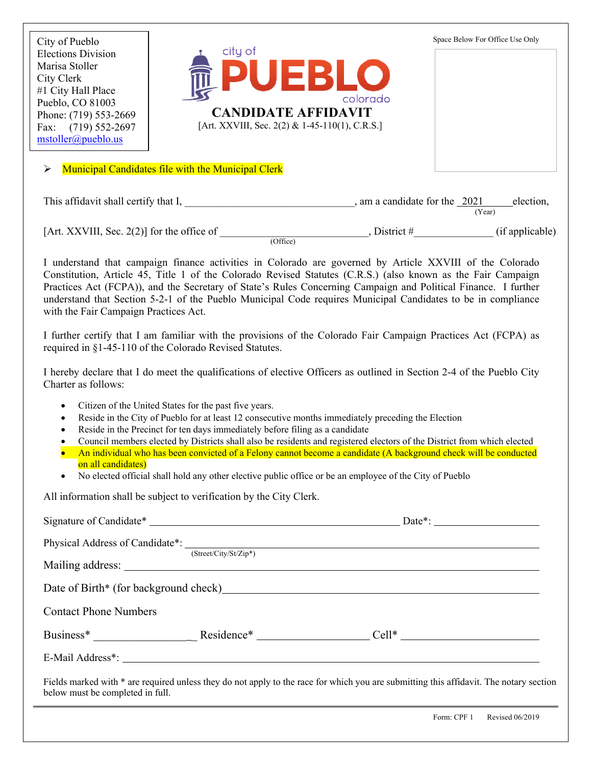

[Art. XXVIII, Sec. 2(2)] for the office of  $\qquad \qquad$ , District # $\qquad \qquad$  (if applicable) (Office)

I understand that campaign finance activities in Colorado are governed by Article XXVIII of the Colorado Constitution, Article 45, Title 1 of the Colorado Revised Statutes (C.R.S.) (also known as the Fair Campaign Practices Act (FCPA)), and the Secretary of State's Rules Concerning Campaign and Political Finance. I further understand that Section 5-2-1 of the Pueblo Municipal Code requires Municipal Candidates to be in compliance with the Fair Campaign Practices Act.

I further certify that I am familiar with the provisions of the Colorado Fair Campaign Practices Act (FCPA) as required in §1-45-110 of the Colorado Revised Statutes.

I hereby declare that I do meet the qualifications of elective Officers as outlined in Section 2-4 of the Pueblo City Charter as follows:

- Citizen of the United States for the past five years.
- Reside in the City of Pueblo for at least 12 consecutive months immediately preceding the Election
- Reside in the Precinct for ten days immediately before filing as a candidate
- Council members elected by Districts shall also be residents and registered electors of the District from which elected
- An individual who has been convicted of a Felony cannot become a candidate (A background check will be conducted on all candidates)
- No elected official shall hold any other elective public office or be an employee of the City of Pueblo

All information shall be subject to verification by the City Clerk.

|                                  | Physical Address of Candidate*: (Street/City/St/Zip*) |                                                                                                                                               |
|----------------------------------|-------------------------------------------------------|-----------------------------------------------------------------------------------------------------------------------------------------------|
|                                  |                                                       |                                                                                                                                               |
|                                  |                                                       | Date of Birth* (for background check)<br><u>Letting</u> the substantial contract to the substantial contract of Birth* (for background check) |
| <b>Contact Phone Numbers</b>     |                                                       |                                                                                                                                               |
|                                  |                                                       |                                                                                                                                               |
|                                  |                                                       |                                                                                                                                               |
| below must be completed in full. |                                                       | Fields marked with * are required unless they do not apply to the race for which you are submitting this affidavit. The notary section        |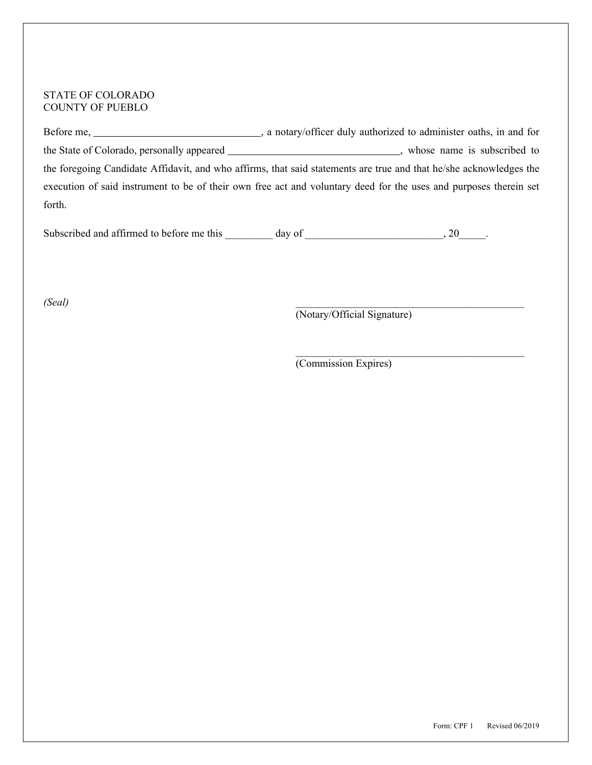## STATE OF COLORADO COUNTY OF PUEBLO

Before me, \_\_\_\_\_\_\_\_\_\_\_\_\_\_\_\_\_\_\_\_\_\_\_\_\_\_\_\_\_\_\_\_, a notary/officer duly authorized to administer oaths, in and for the State of Colorado, personally appeared \_\_\_\_\_\_\_\_\_\_\_\_\_\_\_\_\_\_\_\_\_\_\_\_\_\_\_\_\_, whose name is subscribed to the foregoing Candidate Affidavit, and who affirms, that said statements are true and that he/she acknowledges the execution of said instrument to be of their own free act and voluntary deed for the uses and purposes therein set forth.

Subscribed and affirmed to before me this \_\_\_\_\_\_\_ day of \_\_\_\_\_\_\_\_\_\_\_\_\_\_\_\_\_\_\_\_\_\_, 20\_\_\_\_\_.

*(Seal)* \_\_\_\_\_\_\_\_\_\_\_\_\_\_\_\_\_\_\_\_\_\_\_\_\_\_\_\_\_\_\_\_\_\_\_\_\_\_\_\_\_\_\_

(Notary/Official Signature)

 $\mathcal{L}_\text{max}$  and the contract of the contract of the contract of the contract of the contract of the contract of the contract of the contract of the contract of the contract of the contract of the contract of the contrac

(Commission Expires)